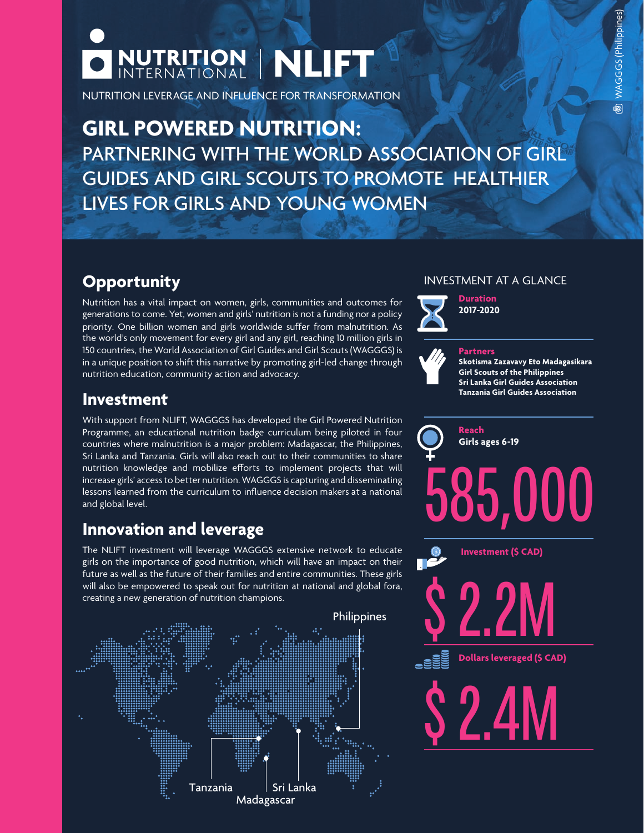

NUTRITION LEVERAGE AND INFLUENCE FOR TRANSFORMATION

**GIRL POWERED NUTRITION:** PARTNERING WITH THE WORLD ASSOCIATION OF GIRL GUIDES AND GIRL SCOUTS TO PROMOTE HEALTHIER LIVES FOR GIRLS AND YOUNG WOMEN

# **Opportunity**

Nutrition has a vital impact on women, girls, communities and outcomes for generations to come. Yet, women and girls' nutrition is not a funding nor a policy priority. One billion women and girls worldwide suffer from malnutrition. As the world's only movement for every girl and any girl, reaching 10 million girls in 150 countries, the World Association of Girl Guides and Girl Scouts (WAGGGS) is in a unique position to shift this narrative by promoting girl-led change through nutrition education, community action and advocacy.



With support from NLIFT, WAGGGS has developed the Girl Powered Nutrition Programme, an educational nutrition badge curriculum being piloted in four countries where malnutrition is a major problem: Madagascar, the Philippines, Sri Lanka and Tanzania. Girls will also reach out to their communities to share nutrition knowledge and mobilize efforts to implement projects that will increase girls' access to better nutrition. WAGGGS is capturing and disseminating lessons learned from the curriculum to influence decision makers at a national and global level.

# **Innovation and leverage**

The NLIFT investment will leverage WAGGGS extensive network to educate girls on the importance of good nutrition, which will have an impact on their future as well as the future of their families and entire communities. These girls will also be empowered to speak out for nutrition at national and global fora, creating a new generation of nutrition champions.



### INVESTMENT AT A GLANCE



**Duration 2017-2020**



#### **Partners**

**Skotisma Zazavavy Eto Madagasikara Girl Scouts of the Philippines Sri Lanka Girl Guides Association Tanzania Girl Guides Association**



**Dollars leveraged (\$ CAD)** 

\$2.4M